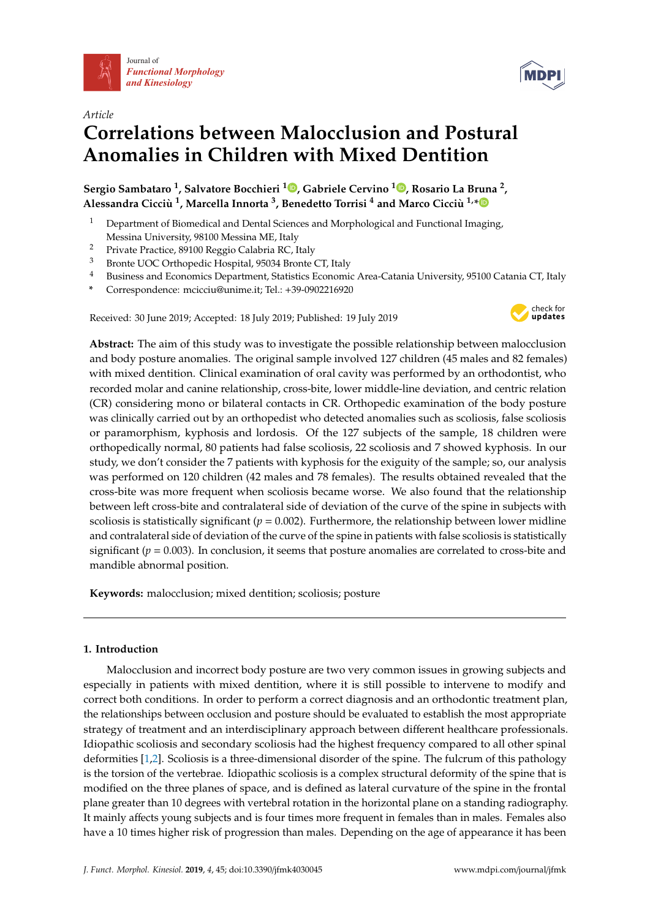



# *Article* **Correlations between Malocclusion and Postural Anomalies in Children with Mixed Dentition**

**Sergio Sambataro <sup>1</sup> , Salvatore Bocchieri [1](https://orcid.org/0000-0001-9521-1174) , Gabriele Cervino <sup>1</sup> [,](https://orcid.org/0000-0003-4619-4691) Rosario La Bruna <sup>2</sup> , Alessandra Cicciù 1 , Marcella Innorta <sup>3</sup> , Benedetto Torrisi <sup>4</sup> and Marco Cicciù 1,[\\*](https://orcid.org/0000-0003-2311-9728)**

- <sup>1</sup> Department of Biomedical and Dental Sciences and Morphological and Functional Imaging, Messina University, 98100 Messina ME, Italy
- <sup>2</sup> Private Practice, 89100 Reggio Calabria RC, Italy
- Bronte UOC Orthopedic Hospital, 95034 Bronte CT, Italy
- <sup>4</sup> Business and Economics Department, Statistics Economic Area-Catania University, 95100 Catania CT, Italy
- **\*** Correspondence: mcicciu@unime.it; Tel.: +39-0902216920

Received: 30 June 2019; Accepted: 18 July 2019; Published: 19 July 2019



**Abstract:** The aim of this study was to investigate the possible relationship between malocclusion and body posture anomalies. The original sample involved 127 children (45 males and 82 females) with mixed dentition. Clinical examination of oral cavity was performed by an orthodontist, who recorded molar and canine relationship, cross-bite, lower middle-line deviation, and centric relation (CR) considering mono or bilateral contacts in CR. Orthopedic examination of the body posture was clinically carried out by an orthopedist who detected anomalies such as scoliosis, false scoliosis or paramorphism, kyphosis and lordosis. Of the 127 subjects of the sample, 18 children were orthopedically normal, 80 patients had false scoliosis, 22 scoliosis and 7 showed kyphosis. In our study, we don't consider the 7 patients with kyphosis for the exiguity of the sample; so, our analysis was performed on 120 children (42 males and 78 females). The results obtained revealed that the cross-bite was more frequent when scoliosis became worse. We also found that the relationship between left cross-bite and contralateral side of deviation of the curve of the spine in subjects with scoliosis is statistically significant ( $p = 0.002$ ). Furthermore, the relationship between lower midline and contralateral side of deviation of the curve of the spine in patients with false scoliosis is statistically significant ( $p = 0.003$ ). In conclusion, it seems that posture anomalies are correlated to cross-bite and mandible abnormal position.

**Keywords:** malocclusion; mixed dentition; scoliosis; posture

## **1. Introduction**

Malocclusion and incorrect body posture are two very common issues in growing subjects and especially in patients with mixed dentition, where it is still possible to intervene to modify and correct both conditions. In order to perform a correct diagnosis and an orthodontic treatment plan, the relationships between occlusion and posture should be evaluated to establish the most appropriate strategy of treatment and an interdisciplinary approach between different healthcare professionals. Idiopathic scoliosis and secondary scoliosis had the highest frequency compared to all other spinal deformities [\[1,](#page-9-0)[2\]](#page-9-1). Scoliosis is a three-dimensional disorder of the spine. The fulcrum of this pathology is the torsion of the vertebrae. Idiopathic scoliosis is a complex structural deformity of the spine that is modified on the three planes of space, and is defined as lateral curvature of the spine in the frontal plane greater than 10 degrees with vertebral rotation in the horizontal plane on a standing radiography. It mainly affects young subjects and is four times more frequent in females than in males. Females also have a 10 times higher risk of progression than males. Depending on the age of appearance it has been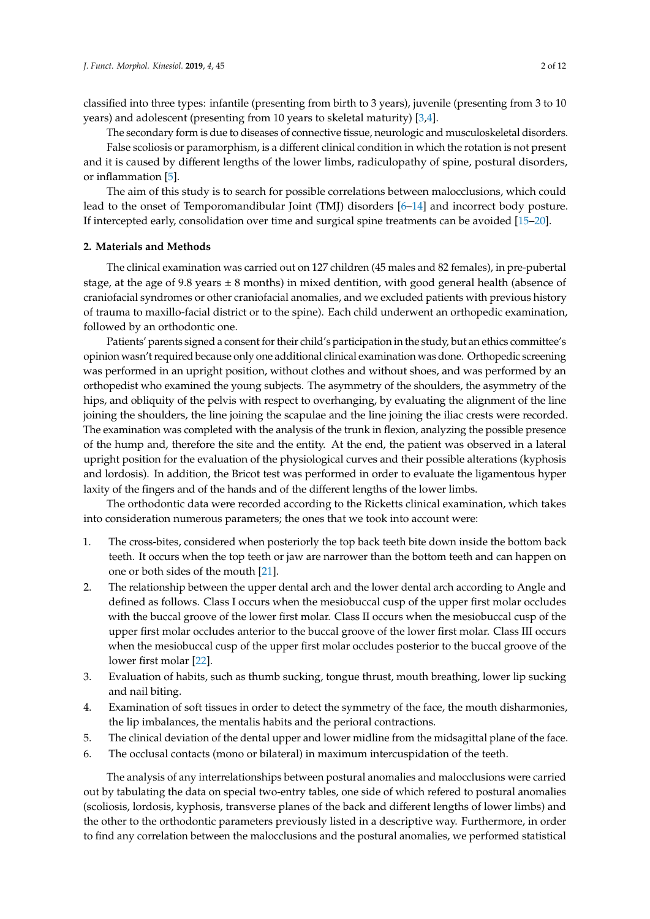classified into three types: infantile (presenting from birth to 3 years), juvenile (presenting from 3 to 10 years) and adolescent (presenting from 10 years to skeletal maturity) [\[3,](#page-9-2)[4\]](#page-9-3).

The secondary form is due to diseases of connective tissue, neurologic and musculoskeletal disorders.

False scoliosis or paramorphism, is a different clinical condition in which the rotation is not present and it is caused by different lengths of the lower limbs, radiculopathy of spine, postural disorders, or inflammation [\[5\]](#page-9-4).

The aim of this study is to search for possible correlations between malocclusions, which could lead to the onset of Temporomandibular Joint (TMJ) disorders [\[6](#page-10-0)[–14\]](#page-10-1) and incorrect body posture. If intercepted early, consolidation over time and surgical spine treatments can be avoided [\[15–](#page-10-2)[20\]](#page-10-3).

## **2. Materials and Methods**

The clinical examination was carried out on 127 children (45 males and 82 females), in pre-pubertal stage, at the age of 9.8 years  $\pm$  8 months) in mixed dentition, with good general health (absence of craniofacial syndromes or other craniofacial anomalies, and we excluded patients with previous history of trauma to maxillo-facial district or to the spine). Each child underwent an orthopedic examination, followed by an orthodontic one.

Patients' parents signed a consent for their child's participation in the study, but an ethics committee's opinion wasn't required because only one additional clinical examination was done. Orthopedic screening was performed in an upright position, without clothes and without shoes, and was performed by an orthopedist who examined the young subjects. The asymmetry of the shoulders, the asymmetry of the hips, and obliquity of the pelvis with respect to overhanging, by evaluating the alignment of the line joining the shoulders, the line joining the scapulae and the line joining the iliac crests were recorded. The examination was completed with the analysis of the trunk in flexion, analyzing the possible presence of the hump and, therefore the site and the entity. At the end, the patient was observed in a lateral upright position for the evaluation of the physiological curves and their possible alterations (kyphosis and lordosis). In addition, the Bricot test was performed in order to evaluate the ligamentous hyper laxity of the fingers and of the hands and of the different lengths of the lower limbs.

The orthodontic data were recorded according to the Ricketts clinical examination, which takes into consideration numerous parameters; the ones that we took into account were:

- 1. The cross-bites, considered when posteriorly the top back teeth bite down inside the bottom back teeth. It occurs when the top teeth or jaw are narrower than the bottom teeth and can happen on one or both sides of the mouth [\[21\]](#page-10-4).
- 2. The relationship between the upper dental arch and the lower dental arch according to Angle and defined as follows. Class I occurs when the mesiobuccal cusp of the upper first molar occludes with the buccal groove of the lower first molar. Class II occurs when the mesiobuccal cusp of the upper first molar occludes anterior to the buccal groove of the lower first molar. Class III occurs when the mesiobuccal cusp of the upper first molar occludes posterior to the buccal groove of the lower first molar [\[22\]](#page-10-5).
- 3. Evaluation of habits, such as thumb sucking, tongue thrust, mouth breathing, lower lip sucking and nail biting.
- 4. Examination of soft tissues in order to detect the symmetry of the face, the mouth disharmonies, the lip imbalances, the mentalis habits and the perioral contractions.
- 5. The clinical deviation of the dental upper and lower midline from the midsagittal plane of the face.
- 6. The occlusal contacts (mono or bilateral) in maximum intercuspidation of the teeth.

The analysis of any interrelationships between postural anomalies and malocclusions were carried out by tabulating the data on special two-entry tables, one side of which refered to postural anomalies (scoliosis, lordosis, kyphosis, transverse planes of the back and different lengths of lower limbs) and the other to the orthodontic parameters previously listed in a descriptive way. Furthermore, in order to find any correlation between the malocclusions and the postural anomalies, we performed statistical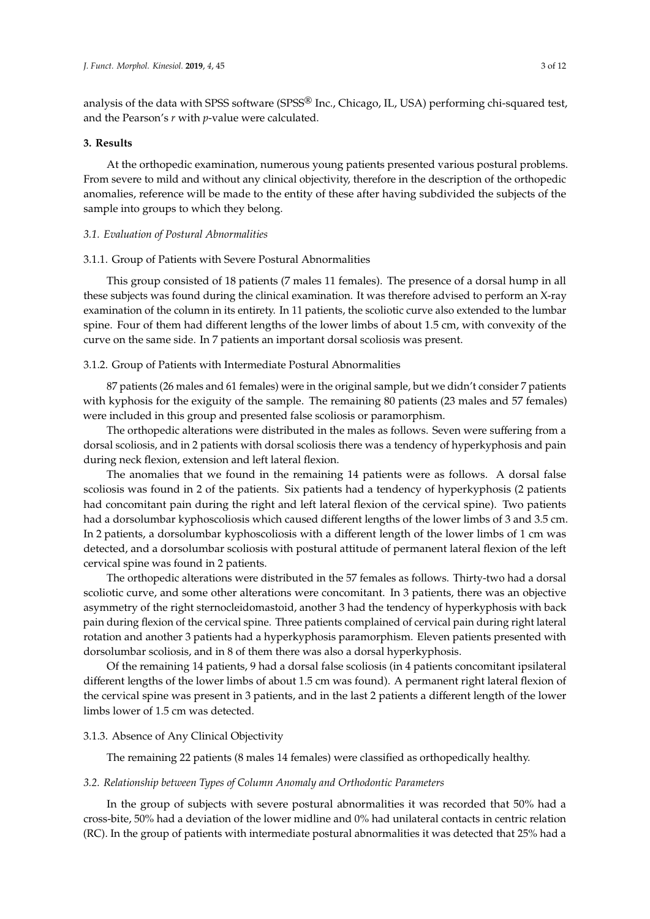analysis of the data with SPSS software (SPSS® Inc., Chicago, IL, USA) performing chi-squared test, and the Pearson's *r* with *p*-value were calculated.

## **3. Results**

At the orthopedic examination, numerous young patients presented various postural problems. From severe to mild and without any clinical objectivity, therefore in the description of the orthopedic anomalies, reference will be made to the entity of these after having subdivided the subjects of the sample into groups to which they belong.

## *3.1. Evaluation of Postural Abnormalities*

#### 3.1.1. Group of Patients with Severe Postural Abnormalities

This group consisted of 18 patients (7 males 11 females). The presence of a dorsal hump in all these subjects was found during the clinical examination. It was therefore advised to perform an X-ray examination of the column in its entirety. In 11 patients, the scoliotic curve also extended to the lumbar spine. Four of them had different lengths of the lower limbs of about 1.5 cm, with convexity of the curve on the same side. In 7 patients an important dorsal scoliosis was present.

# 3.1.2. Group of Patients with Intermediate Postural Abnormalities

87 patients (26 males and 61 females) were in the original sample, but we didn't consider 7 patients with kyphosis for the exiguity of the sample. The remaining 80 patients (23 males and 57 females) were included in this group and presented false scoliosis or paramorphism.

The orthopedic alterations were distributed in the males as follows. Seven were suffering from a dorsal scoliosis, and in 2 patients with dorsal scoliosis there was a tendency of hyperkyphosis and pain during neck flexion, extension and left lateral flexion.

The anomalies that we found in the remaining 14 patients were as follows. A dorsal false scoliosis was found in 2 of the patients. Six patients had a tendency of hyperkyphosis (2 patients had concomitant pain during the right and left lateral flexion of the cervical spine). Two patients had a dorsolumbar kyphoscoliosis which caused different lengths of the lower limbs of 3 and 3.5 cm. In 2 patients, a dorsolumbar kyphoscoliosis with a different length of the lower limbs of 1 cm was detected, and a dorsolumbar scoliosis with postural attitude of permanent lateral flexion of the left cervical spine was found in 2 patients.

The orthopedic alterations were distributed in the 57 females as follows. Thirty-two had a dorsal scoliotic curve, and some other alterations were concomitant. In 3 patients, there was an objective asymmetry of the right sternocleidomastoid, another 3 had the tendency of hyperkyphosis with back pain during flexion of the cervical spine. Three patients complained of cervical pain during right lateral rotation and another 3 patients had a hyperkyphosis paramorphism. Eleven patients presented with dorsolumbar scoliosis, and in 8 of them there was also a dorsal hyperkyphosis.

Of the remaining 14 patients, 9 had a dorsal false scoliosis (in 4 patients concomitant ipsilateral different lengths of the lower limbs of about 1.5 cm was found). A permanent right lateral flexion of the cervical spine was present in 3 patients, and in the last 2 patients a different length of the lower limbs lower of 1.5 cm was detected.

## 3.1.3. Absence of Any Clinical Objectivity

The remaining 22 patients (8 males 14 females) were classified as orthopedically healthy.

#### *3.2. Relationship between Types of Column Anomaly and Orthodontic Parameters*

In the group of subjects with severe postural abnormalities it was recorded that 50% had a cross-bite, 50% had a deviation of the lower midline and 0% had unilateral contacts in centric relation (RC). In the group of patients with intermediate postural abnormalities it was detected that 25% had a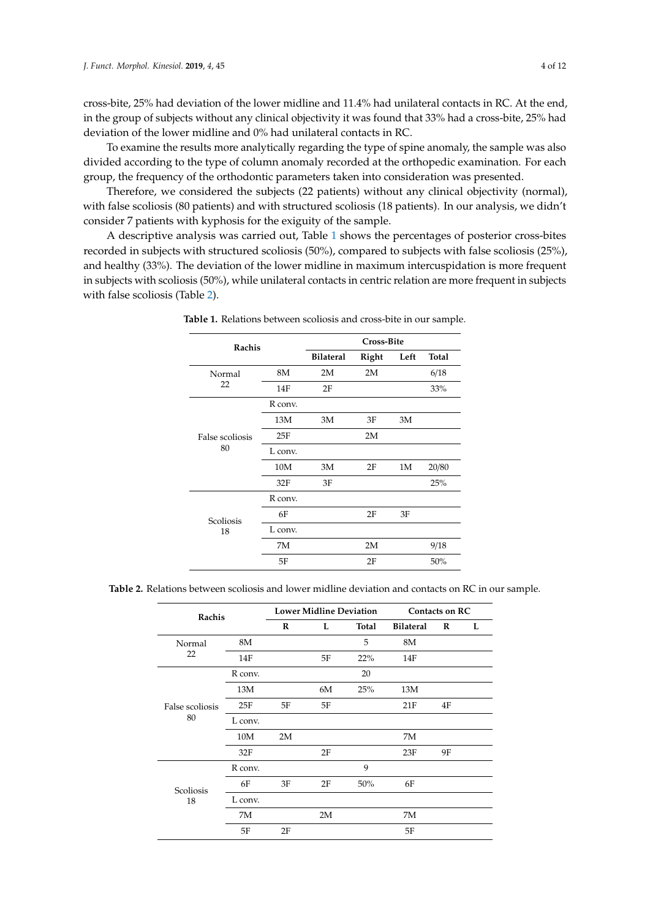cross-bite, 25% had deviation of the lower midline and 11.4% had unilateral contacts in RC. At the end, in the group of subjects without any clinical objectivity it was found that 33% had a cross-bite, 25% had deviation of the lower midline and 0% had unilateral contacts in RC.

To examine the results more analytically regarding the type of spine anomaly, the sample was also divided according to the type of column anomaly recorded at the orthopedic examination. For each group, the frequency of the orthodontic parameters taken into consideration was presented.

Therefore, we considered the subjects (22 patients) without any clinical objectivity (normal), with false scoliosis (80 patients) and with structured scoliosis (18 patients). In our analysis, we didn't consider 7 patients with kyphosis for the exiguity of the sample.

<span id="page-3-0"></span>A descriptive analysis was carried out, Table [1](#page-3-0) shows the percentages of posterior cross-bites recorded in subjects with structured scoliosis (50%), compared to subjects with false scoliosis (25%), and healthy (33%). The deviation of the lower midline in maximum intercuspidation is more frequent in subjects with scoliosis (50%), while unilateral contacts in centric relation are more frequent in subjects with false scoliosis (Table [2\)](#page-3-1).

| Rachis          |         |                  | <b>Cross-Bite</b> |      |              |
|-----------------|---------|------------------|-------------------|------|--------------|
|                 |         | <b>Bilateral</b> | Right             | Left | <b>Total</b> |
| Normal          | 8M      | 2M               | 2M                |      | 6/18         |
| 22              | 14F     | 2F               |                   |      | 33%          |
|                 | R conv. |                  |                   |      |              |
|                 | 13M     | 3M               | 3F                | 3M   |              |
| False scoliosis | 25F     |                  | 2M                |      |              |
| 80              | L conv. |                  |                   |      |              |
|                 | 10M     | 3M               | 2F                | 1M   | 20/80        |
|                 | 32F     | 3F               |                   |      | 25%          |
|                 | R conv. |                  |                   |      |              |
| Scoliosis       | 6F      |                  | 2F                | 3F   |              |
| 18              | L conv. |                  |                   |      |              |
|                 | 7M      |                  | 2M                |      | 9/18         |
|                 | 5F      |                  | 2F                |      | 50%          |

**Table 1.** Relations between scoliosis and cross-bite in our sample.

<span id="page-3-1"></span>

| Table 2. Relations between scoliosis and lower midline deviation and contacts on RC in our sample. |  |
|----------------------------------------------------------------------------------------------------|--|
|----------------------------------------------------------------------------------------------------|--|

| Rachis                |         | <b>Lower Midline Deviation</b> |    |       | Contacts on RC   |          |   |
|-----------------------|---------|--------------------------------|----|-------|------------------|----------|---|
|                       |         | R                              | L  | Total | <b>Bilateral</b> | $\bf{R}$ | L |
| Normal                | 8M      |                                |    | 5     | 8M               |          |   |
| 22                    | 14F     |                                | 5F | 22%   | 14F              |          |   |
|                       | R conv. |                                |    | 20    |                  |          |   |
|                       | 13M     |                                | 6M | 25%   | 13M              |          |   |
| False scoliosis<br>80 | 25F     | 5F                             | 5F |       | 21F              | 4F       |   |
|                       | L conv. |                                |    |       |                  |          |   |
|                       | 10M     | 2M                             |    |       | 7M               |          |   |
|                       | 32F     |                                | 2F |       | 23F              | 9Ε       |   |
|                       | R conv. |                                |    | 9     |                  |          |   |
| Scoliosis             | 6F      | 3F                             | 2F | 50%   | 6F               |          |   |
| 18                    | L conv. |                                |    |       |                  |          |   |
|                       | 7M      |                                | 2M |       | 7M               |          |   |
|                       | 5F      | 2F                             |    |       | 5F               |          |   |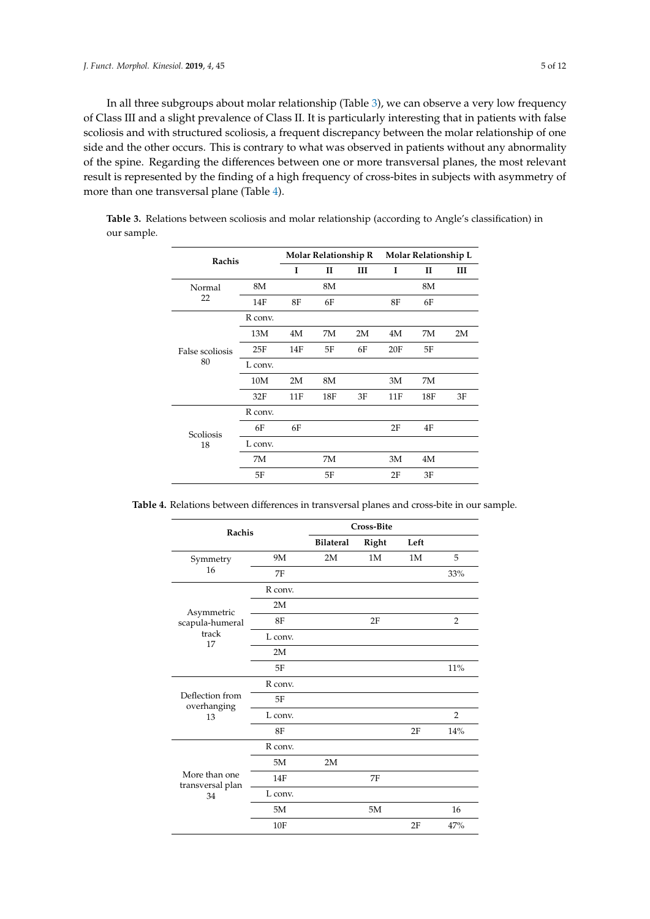In all three subgroups about molar relationship (Table [3\)](#page-4-0), we can observe a very low frequency of Class III and a slight prevalence of Class II. It is particularly interesting that in patients with false scoliosis and with structured scoliosis, a frequent discrepancy between the molar relationship of one side and the other occurs. This is contrary to what was observed in patients without any abnormality of the spine. Regarding the differences between one or more transversal planes, the most relevant result is represented by the finding of a high frequency of cross-bites in subjects with asymmetry of more than one transversal plane (Table [4\)](#page-4-1).

| Rachis          |         |     | <b>Molar Relationship R</b> |    |     | Molar Relationship L |    |  |
|-----------------|---------|-----|-----------------------------|----|-----|----------------------|----|--|
|                 |         | I   | II                          | Ш  | I   | H                    | Ш  |  |
| Normal          | 8M      |     | 8M                          |    |     | 8M                   |    |  |
| 22              | 14F     | 8F  | 6F                          |    | 8F  | 6F                   |    |  |
|                 | R conv. |     |                             |    |     |                      |    |  |
|                 | 13M     | 4M  | 7M                          | 2M | 4M  | 7M                   | 2M |  |
| False scoliosis | 25F     | 14F | 5F                          | 6F | 20F | 5F                   |    |  |
| 80              | L conv. |     |                             |    |     |                      |    |  |
|                 | 10M     | 2M  | 8M                          |    | 3M  | 7M                   |    |  |
|                 | 32F     | 11F | 18F                         | 3F | 11F | 18F                  | 3F |  |
|                 | R conv. |     |                             |    |     |                      |    |  |
| Scoliosis       | 6F      | 6F  |                             |    | 2F  | 4F                   |    |  |
| 18              | L conv. |     |                             |    |     |                      |    |  |
|                 | 7M      |     | 7M                          |    | 3M  | 4M                   |    |  |
|                 | 5F      |     | 5F                          |    | 2F  | 3F                   |    |  |

<span id="page-4-0"></span>**Table 3.** Relations between scoliosis and molar relationship (according to Angle's classification) in our sample.

<span id="page-4-1"></span>**Table 4.** Relations between differences in transversal planes and cross-bite in our sample.

| Rachis                                  |         |                  | <b>Cross-Bite</b> |      |                |  |
|-----------------------------------------|---------|------------------|-------------------|------|----------------|--|
|                                         |         | <b>Bilateral</b> | <b>Right</b>      | Left |                |  |
| Symmetry                                | 9M      | 2M               | 1M                | 1M   | 5              |  |
| 16                                      | 7F      |                  |                   |      | 33%            |  |
|                                         | R conv. |                  |                   |      |                |  |
| Asymmetric                              | 2M      |                  |                   |      |                |  |
| scapula-humeral                         | 8F      |                  | 2F                |      | $\overline{2}$ |  |
| track<br>17                             | L conv. |                  |                   |      |                |  |
|                                         | 2M      |                  |                   |      |                |  |
|                                         | 5F      |                  |                   |      | 11%            |  |
|                                         | R conv. |                  |                   |      |                |  |
| Deflection from<br>overhanging          | 5F      |                  |                   |      |                |  |
| 13                                      | L conv. |                  |                   |      | $\overline{2}$ |  |
|                                         | 8F      |                  |                   | 2F   | 14%            |  |
|                                         | R conv. |                  |                   |      |                |  |
|                                         | 5M      | 2M               |                   |      |                |  |
| More than one<br>transversal plan<br>34 | 14F     |                  | 7F                |      |                |  |
|                                         | L conv. |                  |                   |      |                |  |
|                                         | 5M      |                  | 5M                |      | 16             |  |
|                                         | 10F     |                  |                   | 2F   | 47%            |  |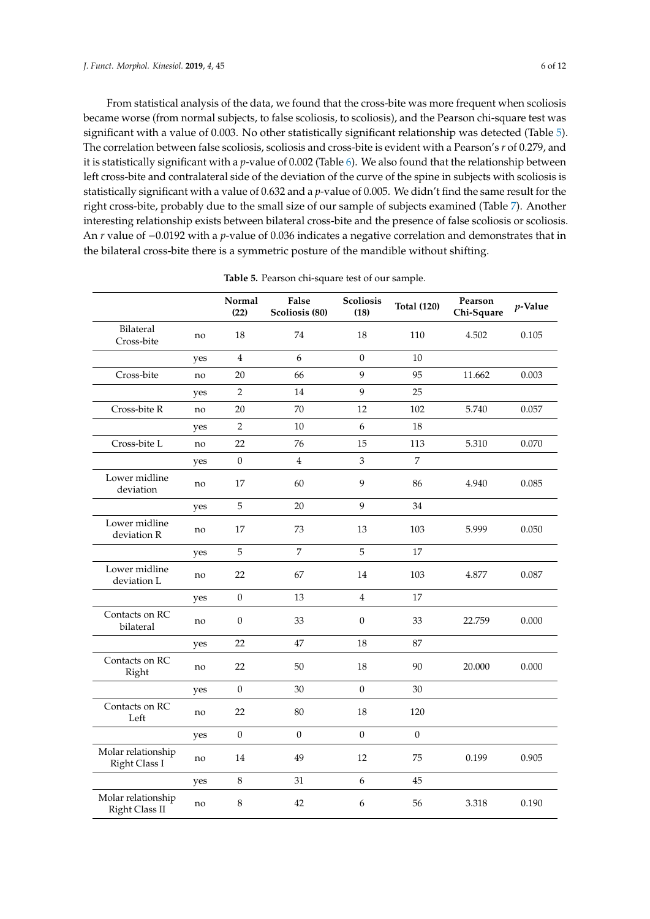From statistical analysis of the data, we found that the cross-bite was more frequent when scoliosis became worse (from normal subjects, to false scoliosis, to scoliosis), and the Pearson chi-square test was significant with a value of 0.003. No other statistically significant relationship was detected (Table [5\)](#page-6-0). The correlation between false scoliosis, scoliosis and cross-bite is evident with a Pearson's *r* of 0.279, and it is statistically significant with a *p*-value of 0.002 (Table [6\)](#page-6-1). We also found that the relationship between left cross-bite and contralateral side of the deviation of the curve of the spine in subjects with scoliosis is statistically significant with a value of 0.632 and a *p*-value of 0.005. We didn't find the same result for the right cross-bite, probably due to the small size of our sample of subjects examined (Table [7\)](#page-7-0). Another interesting relationship exists between bilateral cross-bite and the presence of false scoliosis or scoliosis. An *r* value of −0.0192 with a *p*-value of 0.036 indicates a negative correlation and demonstrates that in

|                                      |     | Normal<br>(22)   | False<br>Scoliosis (80) | <b>Scoliosis</b><br>(18) | <b>Total (120)</b> | Pearson<br>Chi-Square | $p$ -Value |
|--------------------------------------|-----|------------------|-------------------------|--------------------------|--------------------|-----------------------|------------|
| Bilateral<br>Cross-bite              | no  | 18               | 74                      | 18                       | 110                | 4.502                 | 0.105      |
|                                      | yes | $\overline{4}$   | 6                       | $\mathbf{0}$             | $10\,$             |                       |            |
| Cross-bite                           | no  | 20               | 66                      | 9                        | 95                 | 11.662                | 0.003      |
|                                      | yes | $\sqrt{2}$       | 14                      | 9                        | 25                 |                       |            |
| Cross-bite R                         | no  | 20               | 70                      | 12                       | 102                | 5.740                 | 0.057      |
|                                      | yes | $\overline{2}$   | 10                      | 6                        | 18                 |                       |            |
| Cross-bite L                         | no  | 22               | 76                      | 15                       | 113                | 5.310                 | 0.070      |
|                                      | yes | $\boldsymbol{0}$ | $\overline{4}$          | $\mathfrak{Z}$           | 7                  |                       |            |
| Lower midline<br>deviation           | no  | 17               | 60                      | 9                        | 86                 | 4.940                 | 0.085      |
|                                      | yes | $\sqrt{5}$       | 20                      | 9                        | 34                 |                       |            |
| Lower midline<br>deviation R         | no  | 17               | 73                      | 13                       | 103                | 5.999                 | 0.050      |
|                                      | yes | $\sqrt{5}$       | 7                       | 5                        | 17                 |                       |            |
| Lower midline<br>deviation L         | no  | 22               | 67                      | 14                       | 103                | 4.877                 | 0.087      |
|                                      | yes | $\boldsymbol{0}$ | 13                      | $\overline{4}$           | 17                 |                       |            |
| Contacts on RC<br>bilateral          | no  | $\boldsymbol{0}$ | 33                      | $\boldsymbol{0}$         | 33                 | 22.759                | 0.000      |
|                                      | yes | 22               | 47                      | 18                       | 87                 |                       |            |
| Contacts on RC<br>Right              | no  | 22               | 50                      | 18                       | 90                 | 20.000                | 0.000      |
|                                      | yes | $\mathbf{0}$     | 30                      | $\mathbf{0}$             | 30                 |                       |            |
| Contacts on RC<br>Left               | no  | 22               | 80                      | 18                       | 120                |                       |            |
|                                      | yes | $\theta$         | $\Omega$                | $\theta$                 | $\mathbf{0}$       |                       |            |
| Molar relationship<br>Right Class I  | no  | 14               | 49                      | 12                       | 75                 | 0.199                 | 0.905      |
|                                      | yes | $\,8\,$          | 31                      | $\boldsymbol{6}$         | 45                 |                       |            |
| Molar relationship<br>Right Class II | no  | 8                | 42                      | 6                        | 56                 | 3.318                 | 0.190      |

**Table 5.** Pearson chi-square test of our sample.

the bilateral cross-bite there is a symmetric posture of the mandible without shifting.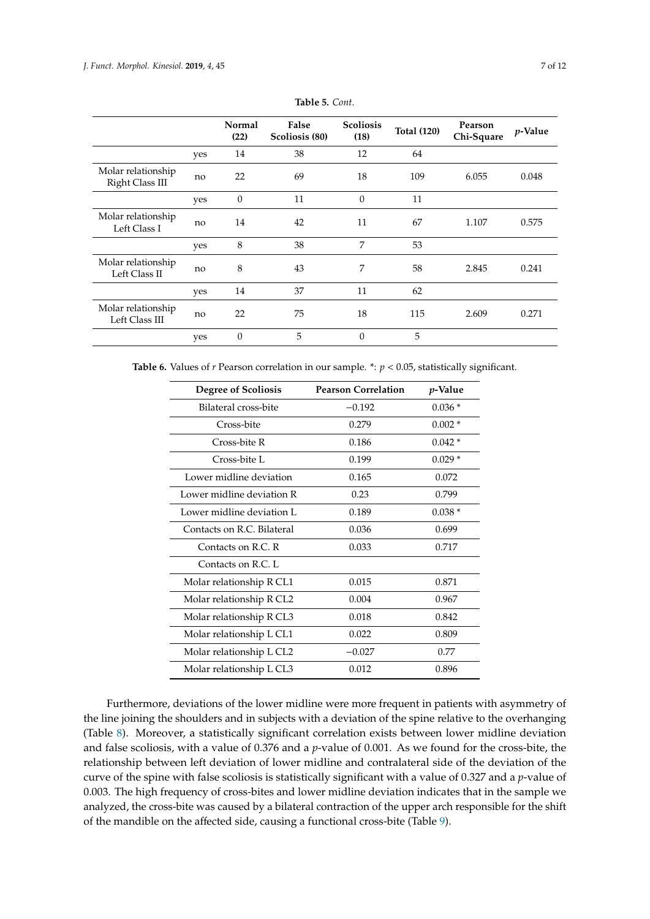<span id="page-6-0"></span>

|                                       |     | Normal<br>(22) | False<br>Scoliosis (80) | <b>Scoliosis</b><br>(18) | <b>Total (120)</b> | Pearson<br>Chi-Square | $p$ -Value |
|---------------------------------------|-----|----------------|-------------------------|--------------------------|--------------------|-----------------------|------------|
|                                       | yes | 14             | 38                      | 12                       | 64                 |                       |            |
| Molar relationship<br>Right Class III | no  | 22             | 69                      | 18                       | 109                | 6.055                 | 0.048      |
|                                       | yes | $\theta$       | 11                      | $\Omega$                 | 11                 |                       |            |
| Molar relationship<br>Left Class I    | no  | 14             | 42                      | 11                       | 67                 | 1.107                 | 0.575      |
|                                       | yes | 8              | 38                      | 7                        | 53                 |                       |            |
| Molar relationship<br>Left Class II   | no  | 8              | 43                      | 7                        | 58                 | 2.845                 | 0.241      |
|                                       | yes | 14             | 37                      | 11                       | 62                 |                       |            |
| Molar relationship<br>Left Class III  | no  | 22             | 75                      | 18                       | 115                | 2.609                 | 0.271      |
|                                       | yes | $\mathbf{0}$   | 5                       | $\overline{0}$           | 5                  |                       |            |

**Table 5.** *Cont.*

<span id="page-6-1"></span>**Table 6.** Values of *r* Pearson correlation in our sample. \*:  $p < 0.05$ , statistically significant.

| <b>Degree of Scoliosis</b> | <b>Pearson Correlation</b> | <i>p</i> -Value |
|----------------------------|----------------------------|-----------------|
| Bilateral cross-bite       | $-0.192$                   | $0.036*$        |
| Cross-bite                 | 0.279                      | $0.002*$        |
| Cross-bite R               | 0.186                      | $0.042*$        |
| Cross-bite L               | 0.199                      | $0.029*$        |
| Lower midline deviation    | 0.165                      | 0.072           |
| Lower midline deviation R  | 0.23                       | 0.799           |
| Lower midline deviation L  | 0.189                      | $0.038*$        |
| Contacts on R.C. Bilateral | 0.036                      | 0.699           |
| Contacts on R.C. R.        | 0.033                      | 0.717           |
| Contacts on R.C. L.        |                            |                 |
| Molar relationship R CL1   | 0.015                      | 0.871           |
| Molar relationship R CL2   | 0.004                      | 0.967           |
| Molar relationship R CL3   | 0.018                      | 0.842           |
| Molar relationship L CL1   | 0.022                      | 0.809           |
| Molar relationship L CL2   | $-0.027$                   | 0.77            |
| Molar relationship L CL3   | 0.012                      | 0.896           |

Furthermore, deviations of the lower midline were more frequent in patients with asymmetry of the line joining the shoulders and in subjects with a deviation of the spine relative to the overhanging (Table [8\)](#page-7-1). Moreover, a statistically significant correlation exists between lower midline deviation and false scoliosis, with a value of 0.376 and a *p*-value of 0.001. As we found for the cross-bite, the relationship between left deviation of lower midline and contralateral side of the deviation of the curve of the spine with false scoliosis is statistically significant with a value of 0.327 and a *p*-value of 0.003. The high frequency of cross-bites and lower midline deviation indicates that in the sample we analyzed, the cross-bite was caused by a bilateral contraction of the upper arch responsible for the shift of the mandible on the affected side, causing a functional cross-bite (Table [9\)](#page-8-0).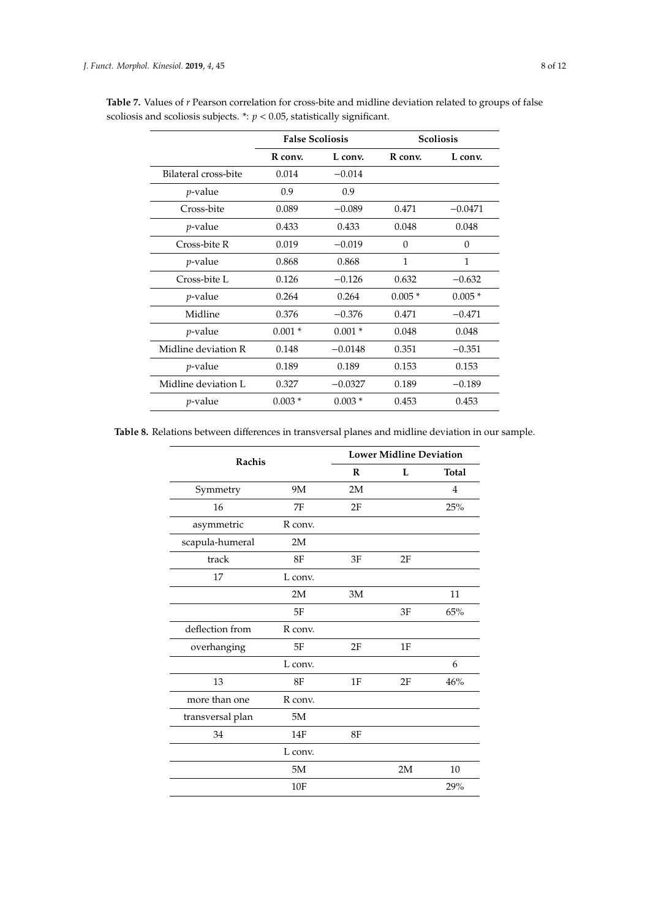|                      | <b>False Scoliosis</b> |           |          | <b>Scoliosis</b> |
|----------------------|------------------------|-----------|----------|------------------|
|                      | R conv.                | L conv.   | R conv.  | L conv.          |
| Bilateral cross-bite | 0.014                  | $-0.014$  |          |                  |
| $p$ -value           | 0.9                    | 0.9       |          |                  |
| Cross-bite           | 0.089                  | $-0.089$  | 0.471    | $-0.0471$        |
| <i>p</i> -value      | 0.433                  | 0.433     | 0.048    | 0.048            |
| Cross-bite R         | 0.019                  | $-0.019$  | $\Omega$ | $\Omega$         |
| <i>p</i> -value      | 0.868                  | 0.868     | 1        | $\mathbf{1}$     |
| Cross-bite L         | 0.126                  | $-0.126$  | 0.632    | $-0.632$         |
| <i>p</i> -value      | 0.264                  | 0.264     | $0.005*$ | $0.005*$         |
| Midline              | 0.376                  | $-0.376$  | 0.471    | $-0.471$         |
| <i>p</i> -value      | $0.001*$               | $0.001*$  | 0.048    | 0.048            |
| Midline deviation R  | 0.148                  | $-0.0148$ | 0.351    | $-0.351$         |
| <i>p</i> -value      | 0.189                  | 0.189     | 0.153    | 0.153            |
| Midline deviation L  | 0.327                  | $-0.0327$ | 0.189    | $-0.189$         |
| <i>p</i> -value      | $0.003*$               | $0.003*$  | 0.453    | 0.453            |

<span id="page-7-0"></span>**Table 7.** Values of *r* Pearson correlation for cross-bite and midline deviation related to groups of false scoliosis and scoliosis subjects.  $\dot{r}$ :  $p < 0.05$ , statistically significant.

<span id="page-7-1"></span>**Table 8.** Relations between differences in transversal planes and midline deviation in our sample.

| Rachis           |         |    | <b>Lower Midline Deviation</b> |              |  |  |
|------------------|---------|----|--------------------------------|--------------|--|--|
|                  |         | R  | L                              | <b>Total</b> |  |  |
| Symmetry         | 9M      | 2M |                                | 4            |  |  |
| 16               | 7F      | 2F |                                | 25%          |  |  |
| asymmetric       | R conv. |    |                                |              |  |  |
| scapula-humeral  | 2M      |    |                                |              |  |  |
| track            | 8F      | 3F | 2F                             |              |  |  |
| 17               | L conv. |    |                                |              |  |  |
|                  | 2M      | 3M |                                | 11           |  |  |
|                  | 5F      |    | 3F                             | 65%          |  |  |
| deflection from  | R conv. |    |                                |              |  |  |
| overhanging      | 5F      | 2F | 1F                             |              |  |  |
|                  | L conv. |    |                                | 6            |  |  |
| 13               | 8F      | 1F | 2F                             | 46%          |  |  |
| more than one    | R conv. |    |                                |              |  |  |
| transversal plan | 5M      |    |                                |              |  |  |
| 34               | 14F     | 8F |                                |              |  |  |
|                  | L conv. |    |                                |              |  |  |
|                  | 5M      |    | 2M                             | 10           |  |  |
|                  | 10F     |    |                                | 29%          |  |  |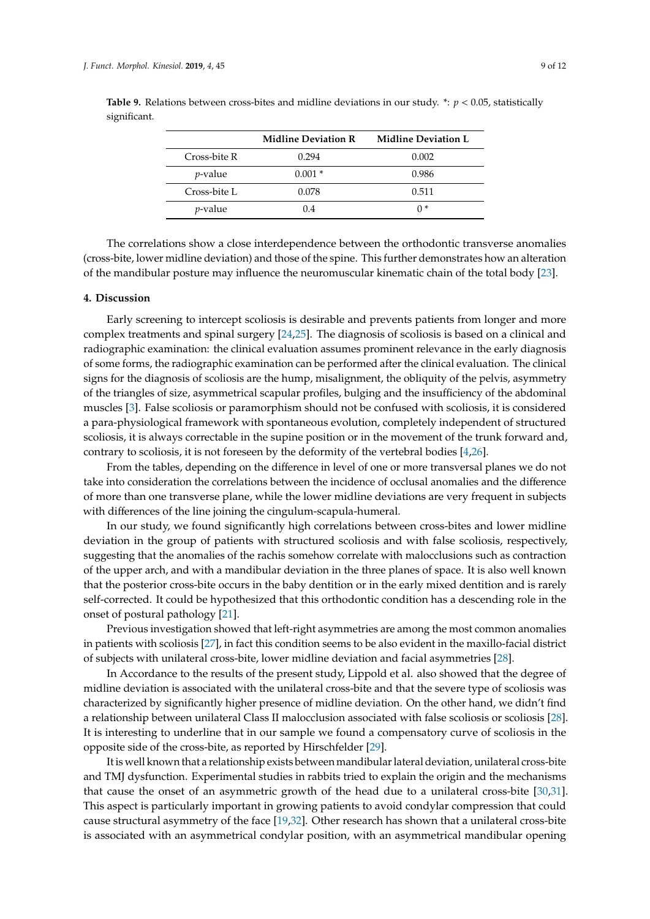|                 | <b>Midline Deviation R</b> | <b>Midline Deviation L</b> |
|-----------------|----------------------------|----------------------------|
| Cross-bite R    | 0.294                      | 0.002                      |
| <i>p</i> -value | $0.001*$                   | 0.986                      |
| Cross-bite L    | 0.078                      | 0.511                      |
| <i>p</i> -value | 0.4                        | በ *                        |

<span id="page-8-0"></span>**Table 9.** Relations between cross-bites and midline deviations in our study.  $*$ :  $p < 0.05$ , statistically significant.

The correlations show a close interdependence between the orthodontic transverse anomalies (cross-bite, lower midline deviation) and those of the spine. This further demonstrates how an alteration of the mandibular posture may influence the neuromuscular kinematic chain of the total body [\[23\]](#page-10-6).

## **4. Discussion**

Early screening to intercept scoliosis is desirable and prevents patients from longer and more complex treatments and spinal surgery [\[24](#page-10-7)[,25\]](#page-10-8). The diagnosis of scoliosis is based on a clinical and radiographic examination: the clinical evaluation assumes prominent relevance in the early diagnosis of some forms, the radiographic examination can be performed after the clinical evaluation. The clinical signs for the diagnosis of scoliosis are the hump, misalignment, the obliquity of the pelvis, asymmetry of the triangles of size, asymmetrical scapular profiles, bulging and the insufficiency of the abdominal muscles [\[3\]](#page-9-2). False scoliosis or paramorphism should not be confused with scoliosis, it is considered a para-physiological framework with spontaneous evolution, completely independent of structured scoliosis, it is always correctable in the supine position or in the movement of the trunk forward and, contrary to scoliosis, it is not foreseen by the deformity of the vertebral bodies [\[4,](#page-9-3)[26\]](#page-10-9).

From the tables, depending on the difference in level of one or more transversal planes we do not take into consideration the correlations between the incidence of occlusal anomalies and the difference of more than one transverse plane, while the lower midline deviations are very frequent in subjects with differences of the line joining the cingulum-scapula-humeral.

In our study, we found significantly high correlations between cross-bites and lower midline deviation in the group of patients with structured scoliosis and with false scoliosis, respectively, suggesting that the anomalies of the rachis somehow correlate with malocclusions such as contraction of the upper arch, and with a mandibular deviation in the three planes of space. It is also well known that the posterior cross-bite occurs in the baby dentition or in the early mixed dentition and is rarely self-corrected. It could be hypothesized that this orthodontic condition has a descending role in the onset of postural pathology [\[21\]](#page-10-4).

Previous investigation showed that left-right asymmetries are among the most common anomalies in patients with scoliosis [\[27\]](#page-10-10), in fact this condition seems to be also evident in the maxillo-facial district of subjects with unilateral cross-bite, lower midline deviation and facial asymmetries [\[28\]](#page-10-11).

In Accordance to the results of the present study, Lippold et al. also showed that the degree of midline deviation is associated with the unilateral cross-bite and that the severe type of scoliosis was characterized by significantly higher presence of midline deviation. On the other hand, we didn't find a relationship between unilateral Class II malocclusion associated with false scoliosis or scoliosis [\[28\]](#page-10-11). It is interesting to underline that in our sample we found a compensatory curve of scoliosis in the opposite side of the cross-bite, as reported by Hirschfelder [\[29\]](#page-11-0).

It is well known that a relationship exists between mandibular lateral deviation, unilateral cross-bite and TMJ dysfunction. Experimental studies in rabbits tried to explain the origin and the mechanisms that cause the onset of an asymmetric growth of the head due to a unilateral cross-bite [\[30,](#page-11-1)[31\]](#page-11-2). This aspect is particularly important in growing patients to avoid condylar compression that could cause structural asymmetry of the face [\[19](#page-10-12)[,32\]](#page-11-3). Other research has shown that a unilateral cross-bite is associated with an asymmetrical condylar position, with an asymmetrical mandibular opening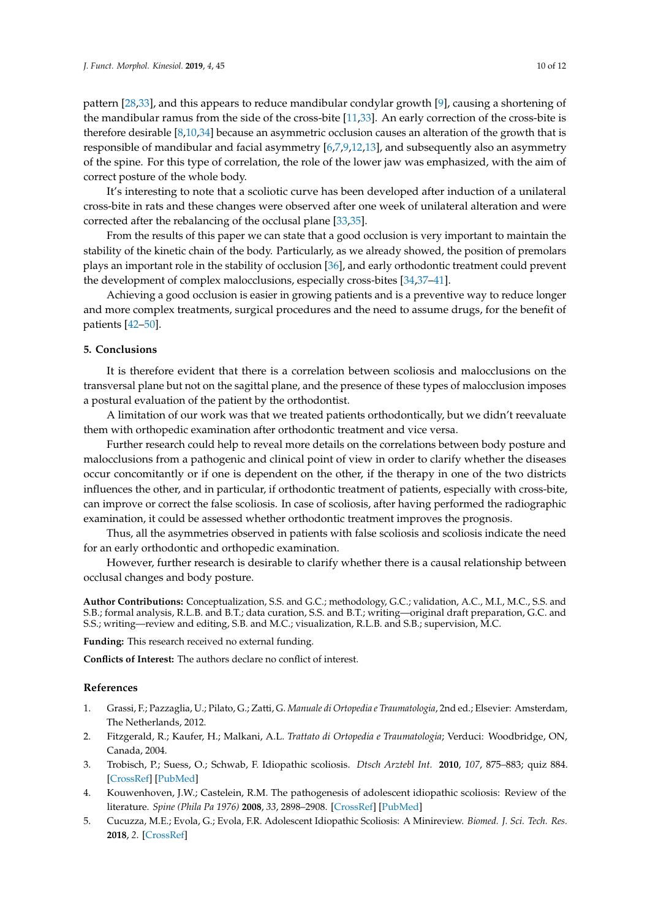pattern [\[28](#page-10-11)[,33\]](#page-11-4), and this appears to reduce mandibular condylar growth [\[9\]](#page-10-13), causing a shortening of the mandibular ramus from the side of the cross-bite [\[11,](#page-10-14)[33\]](#page-11-4). An early correction of the cross-bite is therefore desirable [\[8](#page-10-15)[,10,](#page-10-16)[34\]](#page-11-5) because an asymmetric occlusion causes an alteration of the growth that is responsible of mandibular and facial asymmetry [\[6](#page-10-0)[,7,](#page-10-17)[9](#page-10-13)[,12,](#page-10-18)[13\]](#page-10-19), and subsequently also an asymmetry of the spine. For this type of correlation, the role of the lower jaw was emphasized, with the aim of correct posture of the whole body.

It's interesting to note that a scoliotic curve has been developed after induction of a unilateral cross-bite in rats and these changes were observed after one week of unilateral alteration and were corrected after the rebalancing of the occlusal plane [\[33](#page-11-4)[,35\]](#page-11-6).

From the results of this paper we can state that a good occlusion is very important to maintain the stability of the kinetic chain of the body. Particularly, as we already showed, the position of premolars plays an important role in the stability of occlusion [\[36\]](#page-11-7), and early orthodontic treatment could prevent the development of complex malocclusions, especially cross-bites [\[34](#page-11-5)[,37](#page-11-8)[–41\]](#page-11-9).

Achieving a good occlusion is easier in growing patients and is a preventive way to reduce longer and more complex treatments, surgical procedures and the need to assume drugs, for the benefit of patients [\[42](#page-11-10)[–50\]](#page-11-11).

## **5. Conclusions**

It is therefore evident that there is a correlation between scoliosis and malocclusions on the transversal plane but not on the sagittal plane, and the presence of these types of malocclusion imposes a postural evaluation of the patient by the orthodontist.

A limitation of our work was that we treated patients orthodontically, but we didn't reevaluate them with orthopedic examination after orthodontic treatment and vice versa.

Further research could help to reveal more details on the correlations between body posture and malocclusions from a pathogenic and clinical point of view in order to clarify whether the diseases occur concomitantly or if one is dependent on the other, if the therapy in one of the two districts influences the other, and in particular, if orthodontic treatment of patients, especially with cross-bite, can improve or correct the false scoliosis. In case of scoliosis, after having performed the radiographic examination, it could be assessed whether orthodontic treatment improves the prognosis.

Thus, all the asymmetries observed in patients with false scoliosis and scoliosis indicate the need for an early orthodontic and orthopedic examination.

However, further research is desirable to clarify whether there is a causal relationship between occlusal changes and body posture.

**Author Contributions:** Conceptualization, S.S. and G.C.; methodology, G.C.; validation, A.C., M.I., M.C., S.S. and S.B.; formal analysis, R.L.B. and B.T.; data curation, S.S. and B.T.; writing—original draft preparation, G.C. and S.S.; writing—review and editing, S.B. and M.C.; visualization, R.L.B. and S.B.; supervision, M.C.

**Funding:** This research received no external funding.

**Conflicts of Interest:** The authors declare no conflict of interest.

#### **References**

- <span id="page-9-0"></span>1. Grassi, F.; Pazzaglia, U.; Pilato, G.; Zatti, G. *Manuale di Ortopedia e Traumatologia*, 2nd ed.; Elsevier: Amsterdam, The Netherlands, 2012.
- <span id="page-9-1"></span>2. Fitzgerald, R.; Kaufer, H.; Malkani, A.L. *Trattato di Ortopedia e Traumatologia*; Verduci: Woodbridge, ON, Canada, 2004.
- <span id="page-9-2"></span>3. Trobisch, P.; Suess, O.; Schwab, F. Idiopathic scoliosis. *Dtsch Arztebl Int.* **2010**, *107*, 875–883; quiz 884. [\[CrossRef\]](http://dx.doi.org/10.3238/arztebl.2010.0875) [\[PubMed\]](http://www.ncbi.nlm.nih.gov/pubmed/21191550)
- <span id="page-9-3"></span>4. Kouwenhoven, J.W.; Castelein, R.M. The pathogenesis of adolescent idiopathic scoliosis: Review of the literature. *Spine (Phila Pa 1976)* **2008**, *33*, 2898–2908. [\[CrossRef\]](http://dx.doi.org/10.1097/BRS.0b013e3181891751) [\[PubMed\]](http://www.ncbi.nlm.nih.gov/pubmed/19092622)
- <span id="page-9-4"></span>5. Cucuzza, M.E.; Evola, G.; Evola, F.R. Adolescent Idiopathic Scoliosis: A Minireview. *Biomed. J. Sci. Tech. Res.* **2018**, *2*. [\[CrossRef\]](http://dx.doi.org/10.26717/BJSTR.2018.02.000770)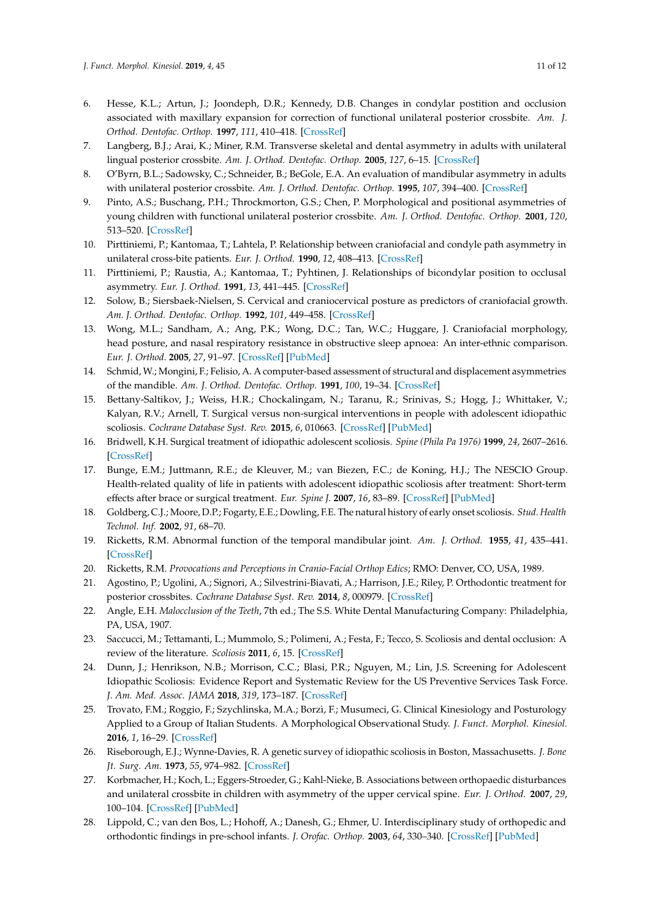- <span id="page-10-0"></span>6. Hesse, K.L.; Artun, J.; Joondeph, D.R.; Kennedy, D.B. Changes in condylar postition and occlusion associated with maxillary expansion for correction of functional unilateral posterior crossbite. *Am. J. Orthod. Dentofac. Orthop.* **1997**, *111*, 410–418. [\[CrossRef\]](http://dx.doi.org/10.1016/S0889-5406(97)80023-6)
- <span id="page-10-17"></span>7. Langberg, B.J.; Arai, K.; Miner, R.M. Transverse skeletal and dental asymmetry in adults with unilateral lingual posterior crossbite. *Am. J. Orthod. Dentofac. Orthop.* **2005**, *127*, 6–15. [\[CrossRef\]](http://dx.doi.org/10.1016/j.ajodo.2003.10.044)
- <span id="page-10-15"></span>8. O'Byrn, B.L.; Sadowsky, C.; Schneider, B.; BeGole, E.A. An evaluation of mandibular asymmetry in adults with unilateral posterior crossbite. *Am. J. Orthod. Dentofac. Orthop.* **1995**, *107*, 394–400. [\[CrossRef\]](http://dx.doi.org/10.1016/S0889-5406(95)70092-7)
- <span id="page-10-13"></span>9. Pinto, A.S.; Buschang, P.H.; Throckmorton, G.S.; Chen, P. Morphological and positional asymmetries of young children with functional unilateral posterior crossbite. *Am. J. Orthod. Dentofac. Orthop.* **2001**, *120*, 513–520. [\[CrossRef\]](http://dx.doi.org/10.1067/mod.2001.118627a)
- <span id="page-10-16"></span>10. Pirttiniemi, P.; Kantomaa, T.; Lahtela, P. Relationship between craniofacial and condyle path asymmetry in unilateral cross-bite patients. *Eur. J. Orthod.* **1990**, *12*, 408–413. [\[CrossRef\]](http://dx.doi.org/10.1093/ejo/12.4.408)
- <span id="page-10-14"></span>11. Pirttiniemi, P.; Raustia, A.; Kantomaa, T.; Pyhtinen, J. Relationships of bicondylar position to occlusal asymmetry. *Eur. J. Orthod.* **1991**, *13*, 441–445. [\[CrossRef\]](http://dx.doi.org/10.1093/ejo/13.6.441)
- <span id="page-10-18"></span>12. Solow, B.; Siersbaek-Nielsen, S. Cervical and craniocervical posture as predictors of craniofacial growth. *Am. J. Orthod. Dentofac. Orthop.* **1992**, *101*, 449–458. [\[CrossRef\]](http://dx.doi.org/10.1016/0889-5406(92)70119-U)
- <span id="page-10-19"></span>13. Wong, M.L.; Sandham, A.; Ang, P.K.; Wong, D.C.; Tan, W.C.; Huggare, J. Craniofacial morphology, head posture, and nasal respiratory resistance in obstructive sleep apnoea: An inter-ethnic comparison. *Eur. J. Orthod.* **2005**, *27*, 91–97. [\[CrossRef\]](http://dx.doi.org/10.1093/ejo/cjh077) [\[PubMed\]](http://www.ncbi.nlm.nih.gov/pubmed/15743868)
- <span id="page-10-1"></span>14. Schmid, W.; Mongini, F.; Felisio, A. A computer-based assessment of structural and displacement asymmetries of the mandible. *Am. J. Orthod. Dentofac. Orthop.* **1991**, *100*, 19–34. [\[CrossRef\]](http://dx.doi.org/10.1016/0889-5406(91)70045-X)
- <span id="page-10-2"></span>15. Bettany-Saltikov, J.; Weiss, H.R.; Chockalingam, N.; Taranu, R.; Srinivas, S.; Hogg, J.; Whittaker, V.; Kalyan, R.V.; Arnell, T. Surgical versus non-surgical interventions in people with adolescent idiopathic scoliosis. *Cochrane Database Syst. Rev.* **2015**, *6*, 010663. [\[CrossRef\]](http://dx.doi.org/10.1002/14651858.CD010663.pub2) [\[PubMed\]](http://www.ncbi.nlm.nih.gov/pubmed/25908428)
- 16. Bridwell, K.H. Surgical treatment of idiopathic adolescent scoliosis. *Spine (Phila Pa 1976)* **1999**, *24*, 2607–2616. [\[CrossRef\]](http://dx.doi.org/10.1097/00007632-199912150-00008)
- 17. Bunge, E.M.; Juttmann, R.E.; de Kleuver, M.; van Biezen, F.C.; de Koning, H.J.; The NESCIO Group. Health-related quality of life in patients with adolescent idiopathic scoliosis after treatment: Short-term effects after brace or surgical treatment. *Eur. Spine J.* **2007**, *16*, 83–89. [\[CrossRef\]](http://dx.doi.org/10.1007/s00586-006-0097-9) [\[PubMed\]](http://www.ncbi.nlm.nih.gov/pubmed/16609857)
- 18. Goldberg, C.J.; Moore, D.P.; Fogarty, E.E.; Dowling, F.E. The natural history of early onset scoliosis. *Stud. Health Technol. Inf.* **2002**, *91*, 68–70.
- <span id="page-10-12"></span>19. Ricketts, R.M. Abnormal function of the temporal mandibular joint. *Am. J. Orthod.* **1955**, *41*, 435–441. [\[CrossRef\]](http://dx.doi.org/10.1016/0002-9416(55)90154-8)
- <span id="page-10-3"></span>20. Ricketts, R.M. *Provocations and Perceptions in Cranio-Facial Orthop Edics*; RMO: Denver, CO, USA, 1989.
- <span id="page-10-4"></span>21. Agostino, P.; Ugolini, A.; Signori, A.; Silvestrini-Biavati, A.; Harrison, J.E.; Riley, P. Orthodontic treatment for posterior crossbites. *Cochrane Database Syst. Rev.* **2014**, *8*, 000979. [\[CrossRef\]](http://dx.doi.org/10.1002/14651858.CD000979.pub2)
- <span id="page-10-5"></span>22. Angle, E.H. *Malocclusion of the Teeth*, 7th ed.; The S.S. White Dental Manufacturing Company: Philadelphia, PA, USA, 1907.
- <span id="page-10-6"></span>23. Saccucci, M.; Tettamanti, L.; Mummolo, S.; Polimeni, A.; Festa, F.; Tecco, S. Scoliosis and dental occlusion: A review of the literature. *Scoliosis* **2011**, *6*, 15. [\[CrossRef\]](http://dx.doi.org/10.1186/1748-7161-6-15)
- <span id="page-10-7"></span>24. Dunn, J.; Henrikson, N.B.; Morrison, C.C.; Blasi, P.R.; Nguyen, M.; Lin, J.S. Screening for Adolescent Idiopathic Scoliosis: Evidence Report and Systematic Review for the US Preventive Services Task Force. *J. Am. Med. Assoc. JAMA* **2018**, *319*, 173–187. [\[CrossRef\]](http://dx.doi.org/10.1001/jama.2017.11669)
- <span id="page-10-8"></span>25. Trovato, F.M.; Roggio, F.; Szychlinska, M.A.; Borzì, F.; Musumeci, G. Clinical Kinesiology and Posturology Applied to a Group of Italian Students. A Morphological Observational Study. *J. Funct. Morphol. Kinesiol.* **2016**, *1*, 16–29. [\[CrossRef\]](http://dx.doi.org/10.3390/jfmk1010016)
- <span id="page-10-9"></span>26. Riseborough, E.J.; Wynne-Davies, R. A genetic survey of idiopathic scoliosis in Boston, Massachusetts. *J. Bone Jt. Surg. Am.* **1973**, *55*, 974–982. [\[CrossRef\]](http://dx.doi.org/10.2106/00004623-197355050-00006)
- <span id="page-10-10"></span>27. Korbmacher, H.; Koch, L.; Eggers-Stroeder, G.; Kahl-Nieke, B. Associations between orthopaedic disturbances and unilateral crossbite in children with asymmetry of the upper cervical spine. *Eur. J. Orthod.* **2007**, *29*, 100–104. [\[CrossRef\]](http://dx.doi.org/10.1093/ejo/cjl066) [\[PubMed\]](http://www.ncbi.nlm.nih.gov/pubmed/17290022)
- <span id="page-10-11"></span>28. Lippold, C.; van den Bos, L.; Hohoff, A.; Danesh, G.; Ehmer, U. Interdisciplinary study of orthopedic and orthodontic findings in pre-school infants. *J. Orofac. Orthop.* **2003**, *64*, 330–340. [\[CrossRef\]](http://dx.doi.org/10.1007/s00056-003-0236-4) [\[PubMed\]](http://www.ncbi.nlm.nih.gov/pubmed/14692047)